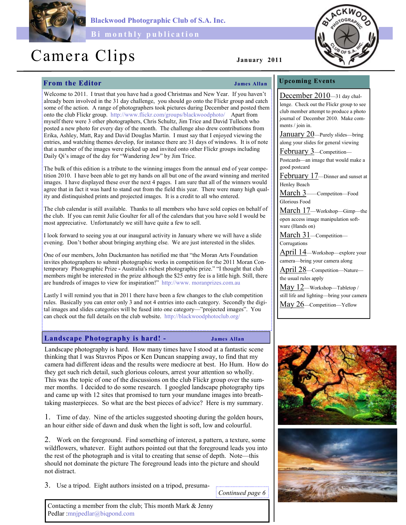

Blackwood Photographic Club of S.A. Inc.

Bi monthly publication

# Camera Clips January 2011

# From the Editor Services of the Services of Tames Allan

## Upcoming Events

December 2010—31 day chal-

Welcome to 2011. I trust that you have had a good Christmas and New Year. If you haven't already been involved in the 31 day challenge, you should go onto the Flickr group and catch some of the action. A range of photographers took pictures during December and posted them onto the club Flickr group. http://www.flickr.com/groups/blackwoodphoto/ Apart from myself there were 3 other photographers, Chris Schultz, Jim Trice and David Tulloch who posted a new photo for every day of the month. The challenge also drew contributions from Erika, Ashley, Matt, Ray and David Douglas Martin. I must say that I enjoyed viewing the entries, and watching themes develop, for instance there are 31 days of windows. It is of note that a number of the images were picked up and invited onto other Flickr groups including Daily Qi's image of the day for "Wandering Jew" by Jim Trice.

The bulk of this edition is a tribute to the winning images from the annual end of year competition 2010. I have been able to get my hands on all but one of the award winning and merited images. I have displayed these over the next 4 pages. I am sure that all of the winners would agree that in fact it was hard to stand out from the field this year. There were many high quality and distinquished prints and projected images. It is a credit to all who entered.

The club calendar is still available. Thanks to all members who have sold copies on behalf of the club. If you can remit Julie Goulter for all of the calendars that you have sold I would be most appreciative. Unfortunately we still have quite a few to sell.

I look forward to seeing you at our inaugural activity in January where we will have a slide evening. Don't bother about bringing anything else. We are just interested in the slides.

One of our members, John Duckmanton has notified me that "the Moran Arts Foundation invites photographers to submit photographic works in competition for the 2011 Moran Contemporary Photographic Prize - Australia's richest photographic prize." "I thought that club members might be interested in the prize although the \$25 entry fee is a little high. Still, there are hundreds of images to view for inspiration!" http://www. moranprizes.com.au

Lastly I will remind you that in 2011 there have been a few changes to the club competition rules. Basically you can enter only 3 and not 4 entries into each category. Secondly the digital images and slides categories will be fused into one category—"projected images". You can check out the full details on the club website. http://blackwoodphotoclub.org/

### Landscape Photography is hard! - James Allan

Landscape photography is hard. How many times have I stood at a fantastic scene thinking that I was Stavros Pipos or Ken Duncan snapping away, to find that my camera had different ideas and the results were mediocre at best. Ho Hum. How do they get such rich detail, such glorious colours, arrest your attention so wholly. This was the topic of one of the discussions on the club Flickr group over the summer months. I decided to do some research. I googled landscape photography tips and came up with 12 sites that promised to turn your mundane images into breathtaking masterpieces. So what are the best pieces of advice? Here is my summary.

1. Time of day. Nine of the articles suggested shooting during the golden hours, an hour either side of dawn and dusk when the light is soft, low and colourful.

2. Work on the foreground. Find something of interest, a pattern, a texture, some wildflowers, whatever. Eight authors pointed out that the foreground leads you into the rest of the photograph and is vital to creating that sense of depth. Note—this should not dominate the picture The foreground leads into the picture and should not distract.

3. Use a tripod. Eight authors insisted on a tripod, presuma-

Continued page 6

lenge. Check out the Flickr group to see club member attempt to produce a photo journal of December 2010. Make comments / join in. January 20—Purely slides—bring along your slides for general viewing February 3—Competition— Postcards—an image that would make a good postcard February 17—Dinner and sunset at Henley Beach March 3——Competiton—Food Glorious Food March 17—Workshop—Gimp—the open access image manipulation software (Hands on) March 31—Competition— Corrugations April 14—Workshop—explore your camera—bring your camera along April 28—Competition—Nature the usual rules apply May 12—Workshop—Tabletop / still life and lighting—bring your camera May 26—Competition—Yellow



Contacting a member from the club; This month Mark & Jenny Pedlar :mnjpedlar@biqpond.com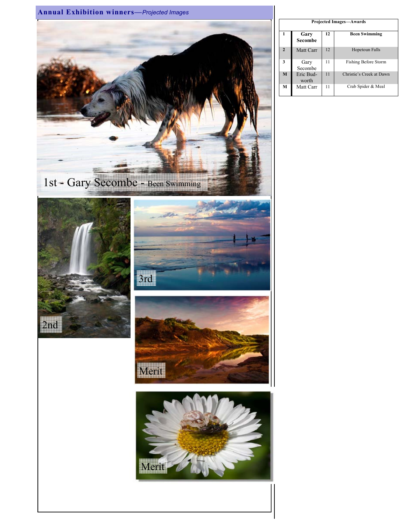

| <b>Projected Images—Awards</b> |                    |    |                             |  |  |
|--------------------------------|--------------------|----|-----------------------------|--|--|
| 1                              | Gary<br>Secombe    | 12 | <b>Been Swimming</b>        |  |  |
| $\mathbf{r}$                   | Matt Carr          | 12 | <b>Hopetoun Falls</b>       |  |  |
| 3                              | Gary<br>Secombe    | 11 | <b>Fishing Before Storm</b> |  |  |
| M                              | Eric Bud-<br>worth | 11 | Christie's Creek at Dawn    |  |  |
| М                              | Matt Carr          | 11 | Crab Spider & Meal          |  |  |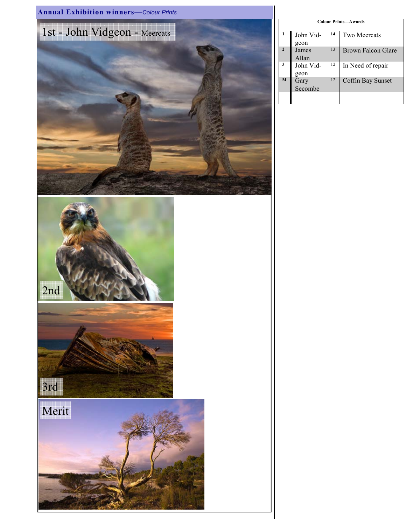

| <b>Colour Prints-Awards</b> |           |    |                     |  |  |  |  |
|-----------------------------|-----------|----|---------------------|--|--|--|--|
|                             |           |    |                     |  |  |  |  |
| 1                           | John Vid- | 14 | <b>Two Meercats</b> |  |  |  |  |
|                             |           |    |                     |  |  |  |  |
|                             | geon      |    |                     |  |  |  |  |
| $\overline{2}$              | James     | 13 | Brown Falcon Glare  |  |  |  |  |
|                             | Allan     |    |                     |  |  |  |  |
|                             |           |    |                     |  |  |  |  |
| 3                           | John Vid- | 12 | In Need of repair   |  |  |  |  |
|                             |           |    |                     |  |  |  |  |
|                             | geon      |    |                     |  |  |  |  |
| M                           | Gary      | 12 | Coffin Bay Sunset   |  |  |  |  |
|                             | Secombe   |    |                     |  |  |  |  |
|                             |           |    |                     |  |  |  |  |
|                             |           |    |                     |  |  |  |  |
|                             |           |    |                     |  |  |  |  |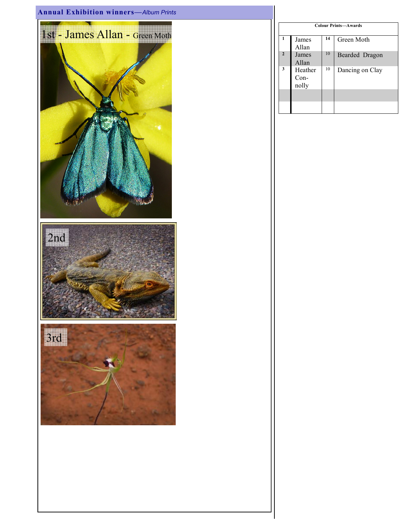# Annual Exhibition winners—Album Prints



| <b>Colour Prints-Awards</b> |                            |    |                 |  |  |  |
|-----------------------------|----------------------------|----|-----------------|--|--|--|
| 1                           | James<br>Allan             | 14 | Green Moth      |  |  |  |
| $\overline{2}$              | James<br>Allan             | 10 | Bearded Dragon  |  |  |  |
| 3                           | Heather<br>$Con-$<br>nolly | 10 | Dancing on Clay |  |  |  |
|                             |                            |    |                 |  |  |  |
|                             |                            |    |                 |  |  |  |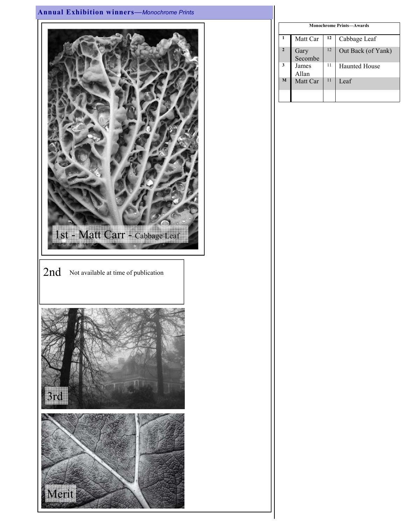# Annual Exhibition winners—Monochrome Prints



| Monochrome Prints-Awards |                 |    |                      |  |  |
|--------------------------|-----------------|----|----------------------|--|--|
| 1                        | Matt Car        | 12 | Cabbage Leaf         |  |  |
| $\overline{2}$           | Gary<br>Secombe | 12 | Out Back (of Yank)   |  |  |
| 3                        | James<br>Allan  | 11 | <b>Haunted House</b> |  |  |
| M                        | Matt Car        | 11 | Leaf                 |  |  |
|                          |                 |    |                      |  |  |